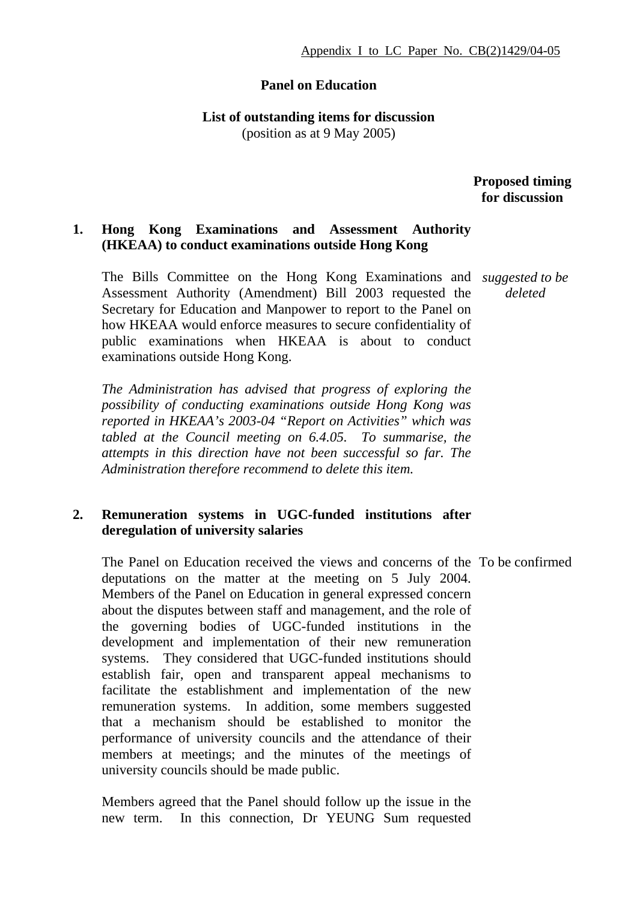#### **Panel on Education**

#### **List of outstanding items for discussion**  (position as at 9 May 2005)

 **Proposed timing for discussion**

## **1. Hong Kong Examinations and Assessment Authority (HKEAA) to conduct examinations outside Hong Kong**

The Bills Committee on the Hong Kong Examinations and *suggested to be*  Assessment Authority (Amendment) Bill 2003 requested the Secretary for Education and Manpower to report to the Panel on how HKEAA would enforce measures to secure confidentiality of public examinations when HKEAA is about to conduct examinations outside Hong Kong.

*The Administration has advised that progress of exploring the possibility of conducting examinations outside Hong Kong was reported in HKEAA's 2003-04 "Report on Activities" which was tabled at the Council meeting on 6.4.05. To summarise, the attempts in this direction have not been successful so far. The Administration therefore recommend to delete this item.* 

### **2. Remuneration systems in UGC-funded institutions after deregulation of university salaries**

The Panel on Education received the views and concerns of the To be confirmeddeputations on the matter at the meeting on 5 July 2004. Members of the Panel on Education in general expressed concern about the disputes between staff and management, and the role of the governing bodies of UGC-funded institutions in the development and implementation of their new remuneration systems. They considered that UGC-funded institutions should establish fair, open and transparent appeal mechanisms to facilitate the establishment and implementation of the new remuneration systems. In addition, some members suggested that a mechanism should be established to monitor the performance of university councils and the attendance of their members at meetings; and the minutes of the meetings of university councils should be made public.

Members agreed that the Panel should follow up the issue in the new term. In this connection, Dr YEUNG Sum requested

*deleted*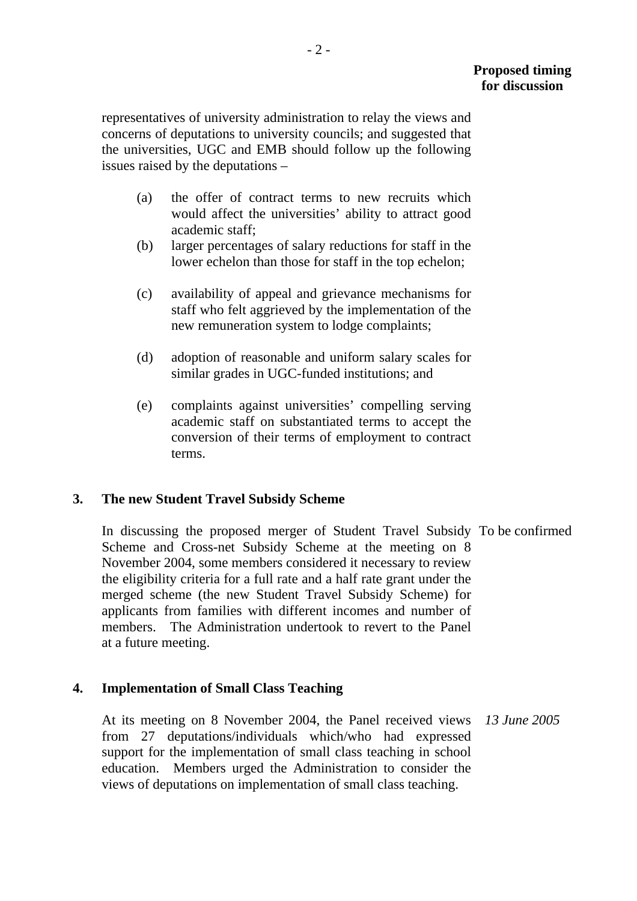representatives of university administration to relay the views and concerns of deputations to university councils; and suggested that the universities, UGC and EMB should follow up the following issues raised by the deputations –

- (a) the offer of contract terms to new recruits which would affect the universities' ability to attract good academic staff;
- (b) larger percentages of salary reductions for staff in the lower echelon than those for staff in the top echelon;
- (c) availability of appeal and grievance mechanisms for staff who felt aggrieved by the implementation of the new remuneration system to lodge complaints;
- (d) adoption of reasonable and uniform salary scales for similar grades in UGC-funded institutions; and
- (e) complaints against universities' compelling serving academic staff on substantiated terms to accept the conversion of their terms of employment to contract terms.

### **3. The new Student Travel Subsidy Scheme**

In discussing the proposed merger of Student Travel Subsidy To be confirmed Scheme and Cross-net Subsidy Scheme at the meeting on 8 November 2004, some members considered it necessary to review the eligibility criteria for a full rate and a half rate grant under the merged scheme (the new Student Travel Subsidy Scheme) for applicants from families with different incomes and number of members. The Administration undertook to revert to the Panel at a future meeting.

### **4. Implementation of Small Class Teaching**

At its meeting on 8 November 2004, the Panel received views *13 June 2005* from 27 deputations/individuals which/who had expressed support for the implementation of small class teaching in school education. Members urged the Administration to consider the views of deputations on implementation of small class teaching.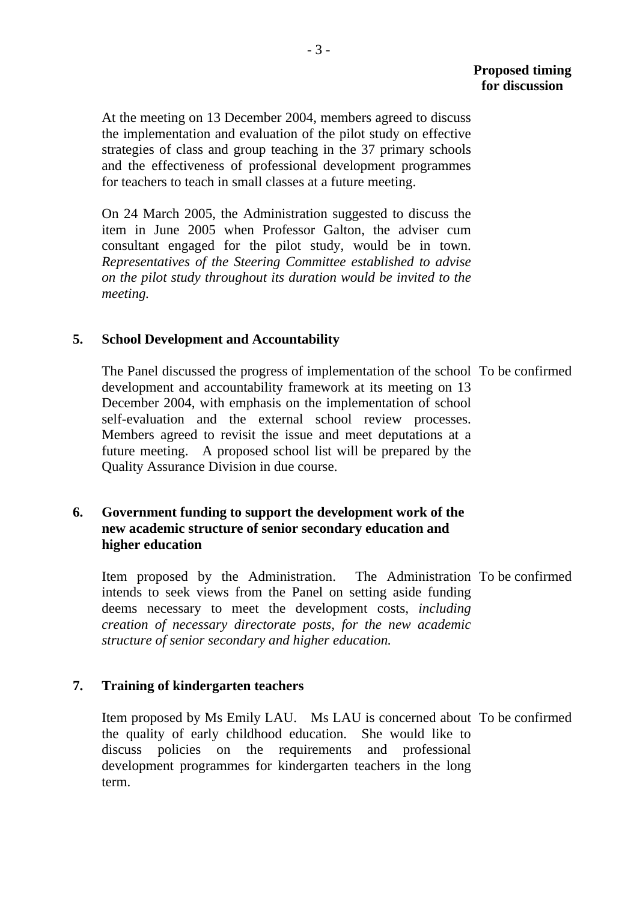At the meeting on 13 December 2004, members agreed to discuss the implementation and evaluation of the pilot study on effective strategies of class and group teaching in the 37 primary schools and the effectiveness of professional development programmes for teachers to teach in small classes at a future meeting.

On 24 March 2005, the Administration suggested to discuss the item in June 2005 when Professor Galton, the adviser cum consultant engaged for the pilot study, would be in town. *Representatives of the Steering Committee established to advise on the pilot study throughout its duration would be invited to the meeting.* 

## **5. School Development and Accountability**

The Panel discussed the progress of implementation of the school To be confirmed development and accountability framework at its meeting on 13 December 2004, with emphasis on the implementation of school self-evaluation and the external school review processes. Members agreed to revisit the issue and meet deputations at a future meeting. A proposed school list will be prepared by the Quality Assurance Division in due course.

## **6. Government funding to support the development work of the new academic structure of senior secondary education and higher education**

Item proposed by the Administration. intends to seek views from the Panel on setting aside funding deems necessary to meet the development costs, *including creation of necessary directorate posts, for the new academic structure of senior secondary and higher education.*  The Administration To be confirmed

# **7. Training of kindergarten teachers**

Item proposed by Ms Emily LAU. Ms LAU is concerned about To be confirmedthe quality of early childhood education. She would like to discuss policies on the requirements and professional development programmes for kindergarten teachers in the long term.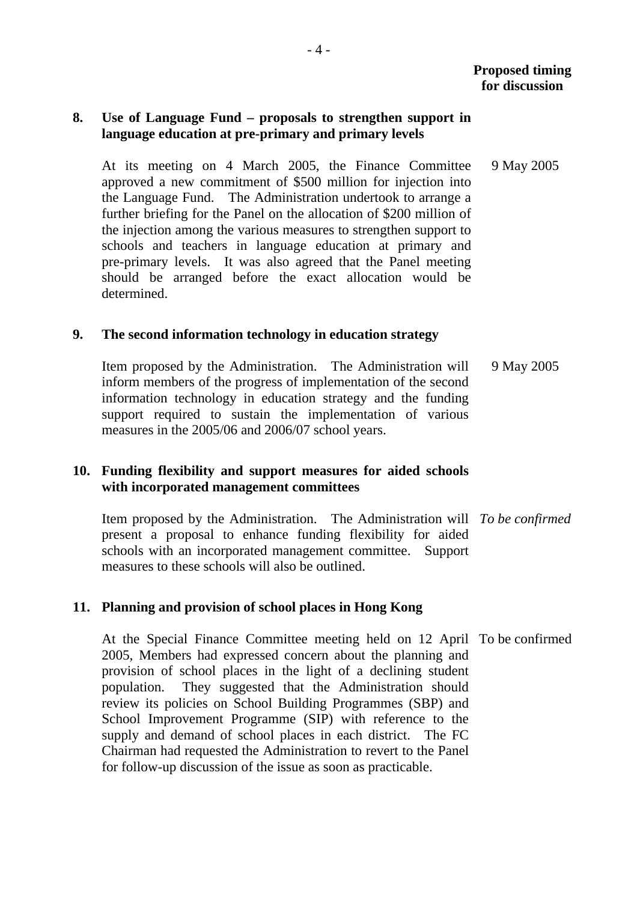## **8. Use of Language Fund – proposals to strengthen support in language education at pre-primary and primary levels**

At its meeting on 4 March 2005, the Finance Committee approved a new commitment of \$500 million for injection into the Language Fund. The Administration undertook to arrange a further briefing for the Panel on the allocation of \$200 million of the injection among the various measures to strengthen support to schools and teachers in language education at primary and pre-primary levels. It was also agreed that the Panel meeting should be arranged before the exact allocation would be determined. 9 May 2005

### **9. The second information technology in education strategy**

Item proposed by the Administration. The Administration will inform members of the progress of implementation of the second information technology in education strategy and the funding support required to sustain the implementation of various measures in the 2005/06 and 2006/07 school years. 9 May 2005

# **10. Funding flexibility and support measures for aided schools with incorporated management committees**

Item proposed by the Administration. The Administration will *To be confirmed* present a proposal to enhance funding flexibility for aided schools with an incorporated management committee. Support measures to these schools will also be outlined.

# **11. Planning and provision of school places in Hong Kong**

At the Special Finance Committee meeting held on 12 April To be confirmed2005, Members had expressed concern about the planning and provision of school places in the light of a declining student population. They suggested that the Administration should review its policies on School Building Programmes (SBP) and School Improvement Programme (SIP) with reference to the supply and demand of school places in each district. The FC Chairman had requested the Administration to revert to the Panel for follow-up discussion of the issue as soon as practicable.